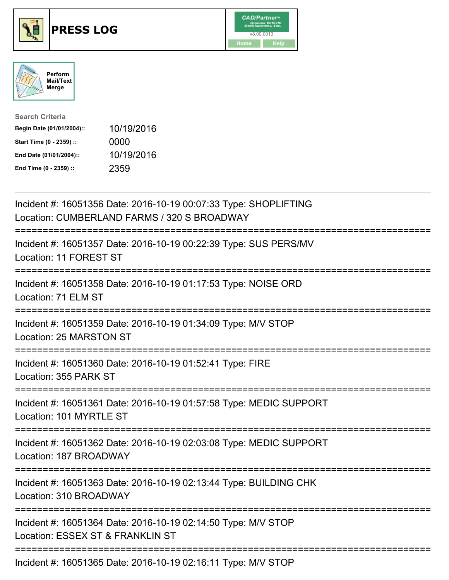





| <b>Search Criteria</b>    |            |
|---------------------------|------------|
| Begin Date (01/01/2004):: | 10/19/2016 |
| Start Time (0 - 2359) ::  | 0000       |
| End Date (01/01/2004)::   | 10/19/2016 |
| End Time (0 - 2359) ::    | 2359       |

| Incident #: 16051356 Date: 2016-10-19 00:07:33 Type: SHOPLIFTING<br>Location: CUMBERLAND FARMS / 320 S BROADWAY |
|-----------------------------------------------------------------------------------------------------------------|
| Incident #: 16051357 Date: 2016-10-19 00:22:39 Type: SUS PERS/MV<br>Location: 11 FOREST ST                      |
| Incident #: 16051358 Date: 2016-10-19 01:17:53 Type: NOISE ORD<br>Location: 71 ELM ST                           |
| Incident #: 16051359 Date: 2016-10-19 01:34:09 Type: M/V STOP<br>Location: 25 MARSTON ST                        |
| Incident #: 16051360 Date: 2016-10-19 01:52:41 Type: FIRE<br>Location: 355 PARK ST<br>===================       |
| Incident #: 16051361 Date: 2016-10-19 01:57:58 Type: MEDIC SUPPORT<br>Location: 101 MYRTLE ST                   |
| Incident #: 16051362 Date: 2016-10-19 02:03:08 Type: MEDIC SUPPORT<br>Location: 187 BROADWAY                    |
| Incident #: 16051363 Date: 2016-10-19 02:13:44 Type: BUILDING CHK<br>Location: 310 BROADWAY                     |
| Incident #: 16051364 Date: 2016-10-19 02:14:50 Type: M/V STOP<br>Location: ESSEX ST & FRANKLIN ST               |
| Incident #: 16051365 Date: 2016-10-19 02:16:11 Type: M/V STOP                                                   |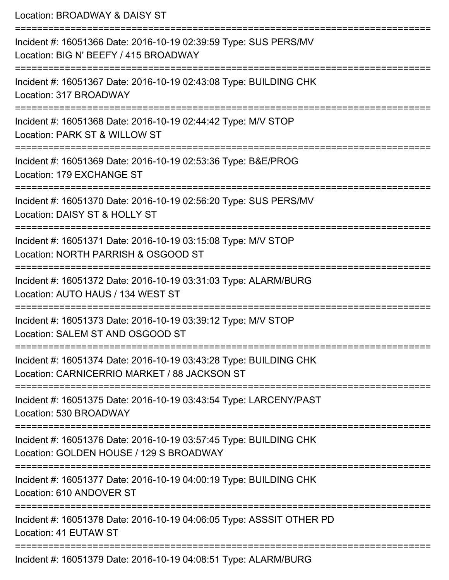Location: BROADWAY & DAISY ST =========================================================================== Incident #: 16051366 Date: 2016-10-19 02:39:59 Type: SUS PERS/MV Location: BIG N' BEEFY / 415 BROADWAY =========================================================================== Incident #: 16051367 Date: 2016-10-19 02:43:08 Type: BUILDING CHK Location: 317 BROADWAY =========================================================================== Incident #: 16051368 Date: 2016-10-19 02:44:42 Type: M/V STOP Location: PARK ST & WILLOW ST =========================================================================== Incident #: 16051369 Date: 2016-10-19 02:53:36 Type: B&E/PROG Location: 179 EXCHANGE ST =========================================================================== Incident #: 16051370 Date: 2016-10-19 02:56:20 Type: SUS PERS/MV Location: DAISY ST & HOLLY ST =========================================================================== Incident #: 16051371 Date: 2016-10-19 03:15:08 Type: M/V STOP Location: NORTH PARRISH & OSGOOD ST =========================================================================== Incident #: 16051372 Date: 2016-10-19 03:31:03 Type: ALARM/BURG Location: AUTO HAUS / 134 WEST ST =========================================================================== Incident #: 16051373 Date: 2016-10-19 03:39:12 Type: M/V STOP Location: SALEM ST AND OSGOOD ST =========================================================================== Incident #: 16051374 Date: 2016-10-19 03:43:28 Type: BUILDING CHK Location: CARNICERRIO MARKET / 88 JACKSON ST =========================================================================== Incident #: 16051375 Date: 2016-10-19 03:43:54 Type: LARCENY/PAST Location: 530 BROADWAY =========================================================================== Incident #: 16051376 Date: 2016-10-19 03:57:45 Type: BUILDING CHK Location: GOLDEN HOUSE / 129 S BROADWAY =========================================================================== Incident #: 16051377 Date: 2016-10-19 04:00:19 Type: BUILDING CHK Location: 610 ANDOVER ST =========================================================================== Incident #: 16051378 Date: 2016-10-19 04:06:05 Type: ASSSIT OTHER PD Location: 41 EUTAW ST ===========================================================================

Incident #: 16051379 Date: 2016-10-19 04:08:51 Type: ALARM/BURG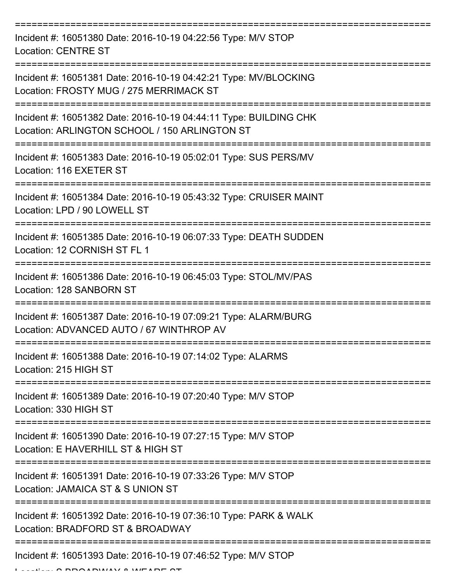| Incident #: 16051380 Date: 2016-10-19 04:22:56 Type: M/V STOP<br><b>Location: CENTRE ST</b>                        |
|--------------------------------------------------------------------------------------------------------------------|
| Incident #: 16051381 Date: 2016-10-19 04:42:21 Type: MV/BLOCKING<br>Location: FROSTY MUG / 275 MERRIMACK ST        |
| Incident #: 16051382 Date: 2016-10-19 04:44:11 Type: BUILDING CHK<br>Location: ARLINGTON SCHOOL / 150 ARLINGTON ST |
| Incident #: 16051383 Date: 2016-10-19 05:02:01 Type: SUS PERS/MV<br>Location: 116 EXETER ST                        |
| Incident #: 16051384 Date: 2016-10-19 05:43:32 Type: CRUISER MAINT<br>Location: LPD / 90 LOWELL ST                 |
| Incident #: 16051385 Date: 2016-10-19 06:07:33 Type: DEATH SUDDEN<br>Location: 12 CORNISH ST FL 1                  |
| Incident #: 16051386 Date: 2016-10-19 06:45:03 Type: STOL/MV/PAS<br>Location: 128 SANBORN ST                       |
| Incident #: 16051387 Date: 2016-10-19 07:09:21 Type: ALARM/BURG<br>Location: ADVANCED AUTO / 67 WINTHROP AV        |
| Incident #: 16051388 Date: 2016-10-19 07:14:02 Type: ALARMS<br>Location: 215 HIGH ST                               |
| Incident #: 16051389 Date: 2016-10-19 07:20:40 Type: M/V STOP<br>Location: 330 HIGH ST                             |
| Incident #: 16051390 Date: 2016-10-19 07:27:15 Type: M/V STOP<br>Location: E HAVERHILL ST & HIGH ST                |
| Incident #: 16051391 Date: 2016-10-19 07:33:26 Type: M/V STOP<br>Location: JAMAICA ST & S UNION ST                 |
| Incident #: 16051392 Date: 2016-10-19 07:36:10 Type: PARK & WALK<br>Location: BRADFORD ST & BROADWAY               |
| Incident #: 16051393 Date: 2016-10-19 07:46:52 Type: M/V STOP                                                      |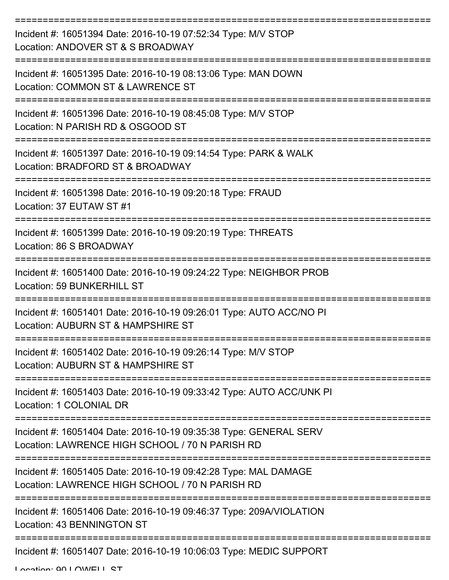| Incident #: 16051394 Date: 2016-10-19 07:52:34 Type: M/V STOP<br>Location: ANDOVER ST & S BROADWAY                      |
|-------------------------------------------------------------------------------------------------------------------------|
| Incident #: 16051395 Date: 2016-10-19 08:13:06 Type: MAN DOWN<br>Location: COMMON ST & LAWRENCE ST                      |
| Incident #: 16051396 Date: 2016-10-19 08:45:08 Type: M/V STOP<br>Location: N PARISH RD & OSGOOD ST                      |
| Incident #: 16051397 Date: 2016-10-19 09:14:54 Type: PARK & WALK<br>Location: BRADFORD ST & BROADWAY                    |
| Incident #: 16051398 Date: 2016-10-19 09:20:18 Type: FRAUD<br>Location: 37 EUTAW ST #1                                  |
| Incident #: 16051399 Date: 2016-10-19 09:20:19 Type: THREATS<br>Location: 86 S BROADWAY                                 |
| Incident #: 16051400 Date: 2016-10-19 09:24:22 Type: NEIGHBOR PROB<br><b>Location: 59 BUNKERHILL ST</b>                 |
| ==========<br>Incident #: 16051401 Date: 2016-10-19 09:26:01 Type: AUTO ACC/NO PI<br>Location: AUBURN ST & HAMPSHIRE ST |
| Incident #: 16051402 Date: 2016-10-19 09:26:14 Type: M/V STOP<br>Location: AUBURN ST & HAMPSHIRE ST                     |
| Incident #: 16051403 Date: 2016-10-19 09:33:42 Type: AUTO ACC/UNK PI<br>Location: 1 COLONIAL DR                         |
| Incident #: 16051404 Date: 2016-10-19 09:35:38 Type: GENERAL SERV<br>Location: LAWRENCE HIGH SCHOOL / 70 N PARISH RD    |
| Incident #: 16051405 Date: 2016-10-19 09:42:28 Type: MAL DAMAGE<br>Location: LAWRENCE HIGH SCHOOL / 70 N PARISH RD      |
| Incident #: 16051406 Date: 2016-10-19 09:46:37 Type: 209A/VIOLATION<br>Location: 43 BENNINGTON ST                       |
| Incident #: 16051407 Date: 2016-10-19 10:06:03 Type: MEDIC SUPPORT                                                      |

Location: 90 LOWELL ST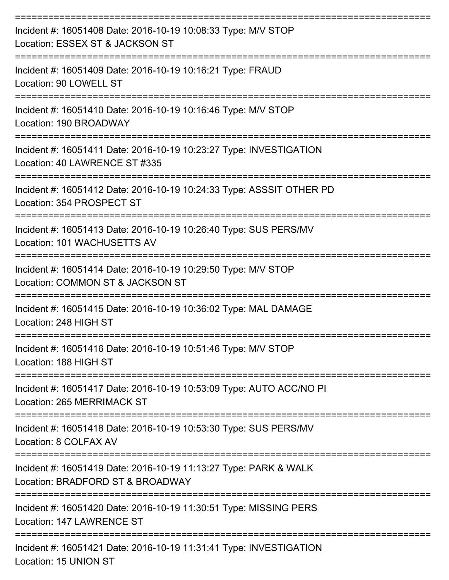| Incident #: 16051408 Date: 2016-10-19 10:08:33 Type: M/V STOP<br>Location: ESSEX ST & JACKSON ST            |
|-------------------------------------------------------------------------------------------------------------|
| Incident #: 16051409 Date: 2016-10-19 10:16:21 Type: FRAUD<br>Location: 90 LOWELL ST                        |
| Incident #: 16051410 Date: 2016-10-19 10:16:46 Type: M/V STOP<br>Location: 190 BROADWAY                     |
| Incident #: 16051411 Date: 2016-10-19 10:23:27 Type: INVESTIGATION<br>Location: 40 LAWRENCE ST #335         |
| Incident #: 16051412 Date: 2016-10-19 10:24:33 Type: ASSSIT OTHER PD<br>Location: 354 PROSPECT ST           |
| Incident #: 16051413 Date: 2016-10-19 10:26:40 Type: SUS PERS/MV<br>Location: 101 WACHUSETTS AV             |
| Incident #: 16051414 Date: 2016-10-19 10:29:50 Type: M/V STOP<br>Location: COMMON ST & JACKSON ST           |
| Incident #: 16051415 Date: 2016-10-19 10:36:02 Type: MAL DAMAGE<br>Location: 248 HIGH ST                    |
| Incident #: 16051416 Date: 2016-10-19 10:51:46 Type: M/V STOP<br>Location: 188 HIGH ST<br>----------------- |
| Incident #: 16051417 Date: 2016-10-19 10:53:09 Type: AUTO ACC/NO PI<br><b>Location: 265 MERRIMACK ST</b>    |
| Incident #: 16051418 Date: 2016-10-19 10:53:30 Type: SUS PERS/MV<br>Location: 8 COLFAX AV                   |
| Incident #: 16051419 Date: 2016-10-19 11:13:27 Type: PARK & WALK<br>Location: BRADFORD ST & BROADWAY        |
| Incident #: 16051420 Date: 2016-10-19 11:30:51 Type: MISSING PERS<br>Location: 147 LAWRENCE ST              |
| Incident #: 16051421 Date: 2016-10-19 11:31:41 Type: INVESTIGATION                                          |

Location: 15 UNION ST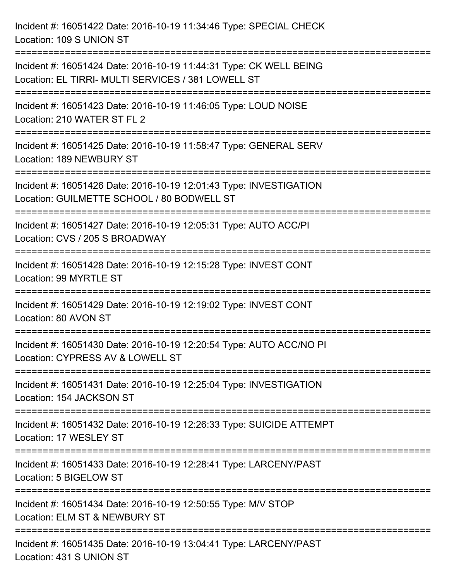Incident #: 16051422 Date: 2016-10-19 11:34:46 Type: SPECIAL CHECK Location: 109 S UNION ST =========================================================================== Incident #: 16051424 Date: 2016-10-19 11:44:31 Type: CK WELL BEING Location: EL TIRRI- MULTI SERVICES / 381 LOWELL ST =========================================================================== Incident #: 16051423 Date: 2016-10-19 11:46:05 Type: LOUD NOISE Location: 210 WATER ST FL 2 =========================================================================== Incident #: 16051425 Date: 2016-10-19 11:58:47 Type: GENERAL SERV Location: 189 NEWBURY ST =========================================================================== Incident #: 16051426 Date: 2016-10-19 12:01:43 Type: INVESTIGATION Location: GUILMETTE SCHOOL / 80 BODWELL ST =========================================================================== Incident #: 16051427 Date: 2016-10-19 12:05:31 Type: AUTO ACC/PI Location: CVS / 205 S BROADWAY =========================================================================== Incident #: 16051428 Date: 2016-10-19 12:15:28 Type: INVEST CONT Location: 99 MYRTLE ST =========================================================================== Incident #: 16051429 Date: 2016-10-19 12:19:02 Type: INVEST CONT Location: 80 AVON ST =========================================================================== Incident #: 16051430 Date: 2016-10-19 12:20:54 Type: AUTO ACC/NO PI Location: CYPRESS AV & LOWELL ST =========================================================================== Incident #: 16051431 Date: 2016-10-19 12:25:04 Type: INVESTIGATION Location: 154 JACKSON ST =========================================================================== Incident #: 16051432 Date: 2016-10-19 12:26:33 Type: SUICIDE ATTEMPT Location: 17 WESLEY ST =========================================================================== Incident #: 16051433 Date: 2016-10-19 12:28:41 Type: LARCENY/PAST Location: 5 BIGELOW ST =========================================================================== Incident #: 16051434 Date: 2016-10-19 12:50:55 Type: M/V STOP Location: ELM ST & NEWBURY ST =========================================================================== Incident #: 16051435 Date: 2016-10-19 13:04:41 Type: LARCENY/PAST Location: 431 S UNION ST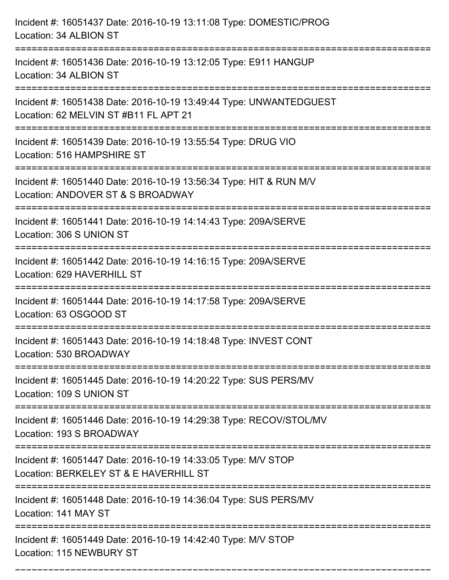| Incident #: 16051437 Date: 2016-10-19 13:11:08 Type: DOMESTIC/PROG<br>Location: 34 ALBION ST                                            |
|-----------------------------------------------------------------------------------------------------------------------------------------|
| Incident #: 16051436 Date: 2016-10-19 13:12:05 Type: E911 HANGUP<br>Location: 34 ALBION ST                                              |
| Incident #: 16051438 Date: 2016-10-19 13:49:44 Type: UNWANTEDGUEST<br>Location: 62 MELVIN ST #B11 FL APT 21<br>:======================= |
| Incident #: 16051439 Date: 2016-10-19 13:55:54 Type: DRUG VIO<br>Location: 516 HAMPSHIRE ST                                             |
| Incident #: 16051440 Date: 2016-10-19 13:56:34 Type: HIT & RUN M/V<br>Location: ANDOVER ST & S BROADWAY                                 |
| Incident #: 16051441 Date: 2016-10-19 14:14:43 Type: 209A/SERVE<br>Location: 306 S UNION ST                                             |
| Incident #: 16051442 Date: 2016-10-19 14:16:15 Type: 209A/SERVE<br>Location: 629 HAVERHILL ST                                           |
| Incident #: 16051444 Date: 2016-10-19 14:17:58 Type: 209A/SERVE<br>Location: 63 OSGOOD ST                                               |
| Incident #: 16051443 Date: 2016-10-19 14:18:48 Type: INVEST CONT<br>Location: 530 BROADWAY                                              |
| Incident #: 16051445 Date: 2016-10-19 14:20:22 Type: SUS PERS/MV<br>Location: 109 S UNION ST                                            |
| Incident #: 16051446 Date: 2016-10-19 14:29:38 Type: RECOV/STOL/MV<br>Location: 193 S BROADWAY                                          |
| Incident #: 16051447 Date: 2016-10-19 14:33:05 Type: M/V STOP<br>Location: BERKELEY ST & E HAVERHILL ST                                 |
| Incident #: 16051448 Date: 2016-10-19 14:36:04 Type: SUS PERS/MV<br>Location: 141 MAY ST                                                |
| Incident #: 16051449 Date: 2016-10-19 14:42:40 Type: M/V STOP<br>Location: 115 NEWBURY ST                                               |

===========================================================================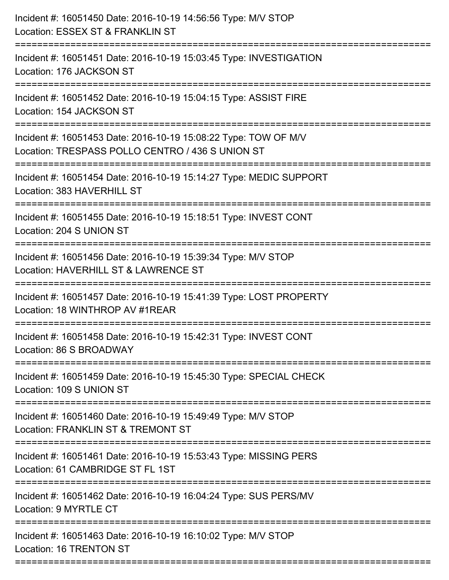| Incident #: 16051450 Date: 2016-10-19 14:56:56 Type: M/V STOP<br>Location: ESSEX ST & FRANKLIN ST                              |
|--------------------------------------------------------------------------------------------------------------------------------|
| Incident #: 16051451 Date: 2016-10-19 15:03:45 Type: INVESTIGATION<br>Location: 176 JACKSON ST                                 |
| Incident #: 16051452 Date: 2016-10-19 15:04:15 Type: ASSIST FIRE<br>Location: 154 JACKSON ST                                   |
| Incident #: 16051453 Date: 2016-10-19 15:08:22 Type: TOW OF M/V<br>Location: TRESPASS POLLO CENTRO / 436 S UNION ST            |
| Incident #: 16051454 Date: 2016-10-19 15:14:27 Type: MEDIC SUPPORT<br>Location: 383 HAVERHILL ST                               |
| Incident #: 16051455 Date: 2016-10-19 15:18:51 Type: INVEST CONT<br>Location: 204 S UNION ST                                   |
| Incident #: 16051456 Date: 2016-10-19 15:39:34 Type: M/V STOP<br>Location: HAVERHILL ST & LAWRENCE ST<br>--------------------- |
| Incident #: 16051457 Date: 2016-10-19 15:41:39 Type: LOST PROPERTY<br>Location: 18 WINTHROP AV #1REAR                          |
| Incident #: 16051458 Date: 2016-10-19 15:42:31 Type: INVEST CONT<br>Location: 86 S BROADWAY                                    |
| Incident #: 16051459 Date: 2016-10-19 15:45:30 Type: SPECIAL CHECK<br>Location: 109 S UNION ST                                 |
| Incident #: 16051460 Date: 2016-10-19 15:49:49 Type: M/V STOP<br>Location: FRANKLIN ST & TREMONT ST                            |
| Incident #: 16051461 Date: 2016-10-19 15:53:43 Type: MISSING PERS<br>Location: 61 CAMBRIDGE ST FL 1ST                          |
| Incident #: 16051462 Date: 2016-10-19 16:04:24 Type: SUS PERS/MV<br>Location: 9 MYRTLE CT                                      |
| Incident #: 16051463 Date: 2016-10-19 16:10:02 Type: M/V STOP<br>Location: 16 TRENTON ST                                       |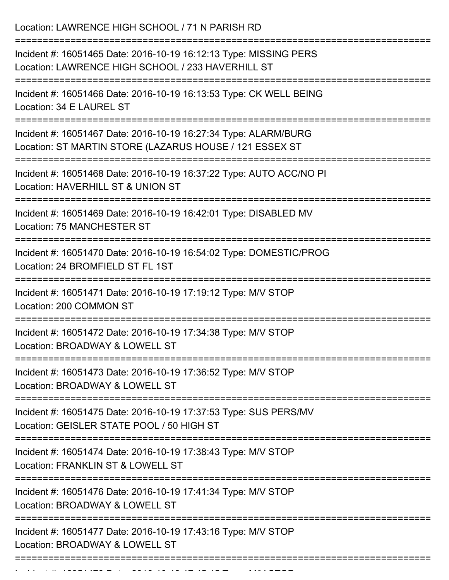| Location: LAWRENCE HIGH SCHOOL / 71 N PARISH RD                                                                                                                  |
|------------------------------------------------------------------------------------------------------------------------------------------------------------------|
| Incident #: 16051465 Date: 2016-10-19 16:12:13 Type: MISSING PERS<br>Location: LAWRENCE HIGH SCHOOL / 233 HAVERHILL ST<br>______________________________________ |
| Incident #: 16051466 Date: 2016-10-19 16:13:53 Type: CK WELL BEING<br>Location: 34 E LAUREL ST                                                                   |
| Incident #: 16051467 Date: 2016-10-19 16:27:34 Type: ALARM/BURG<br>Location: ST MARTIN STORE (LAZARUS HOUSE / 121 ESSEX ST                                       |
| Incident #: 16051468 Date: 2016-10-19 16:37:22 Type: AUTO ACC/NO PI<br>Location: HAVERHILL ST & UNION ST                                                         |
| Incident #: 16051469 Date: 2016-10-19 16:42:01 Type: DISABLED MV<br>Location: 75 MANCHESTER ST                                                                   |
| Incident #: 16051470 Date: 2016-10-19 16:54:02 Type: DOMESTIC/PROG<br>Location: 24 BROMFIELD ST FL 1ST                                                           |
| Incident #: 16051471 Date: 2016-10-19 17:19:12 Type: M/V STOP<br>Location: 200 COMMON ST                                                                         |
| Incident #: 16051472 Date: 2016-10-19 17:34:38 Type: M/V STOP<br>Location: BROADWAY & LOWELL ST                                                                  |
| Incident #: 16051473 Date: 2016-10-19 17:36:52 Type: M/V STOP<br>Location: BROADWAY & LOWELL ST                                                                  |
| Incident #: 16051475 Date: 2016-10-19 17:37:53 Type: SUS PERS/MV<br>Location: GEISLER STATE POOL / 50 HIGH ST                                                    |
| Incident #: 16051474 Date: 2016-10-19 17:38:43 Type: M/V STOP<br>Location: FRANKLIN ST & LOWELL ST                                                               |
| Incident #: 16051476 Date: 2016-10-19 17:41:34 Type: M/V STOP<br>Location: BROADWAY & LOWELL ST                                                                  |
| Incident #: 16051477 Date: 2016-10-19 17:43:16 Type: M/V STOP<br>Location: BROADWAY & LOWELL ST                                                                  |

Incident #: 16051478 Date: 2016 10 19 17:45:45 Type: M/V STOP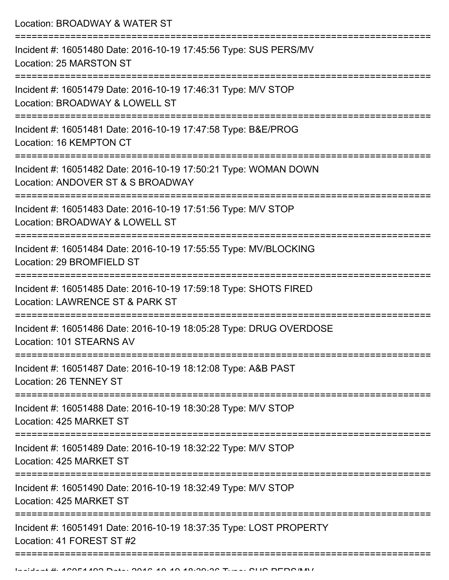Location: BROADWAY & WATER ST =========================================================================== Incident #: 16051480 Date: 2016-10-19 17:45:56 Type: SUS PERS/MV Location: 25 MARSTON ST =========================================================================== Incident #: 16051479 Date: 2016-10-19 17:46:31 Type: M/V STOP Location: BROADWAY & LOWELL ST =========================================================================== Incident #: 16051481 Date: 2016-10-19 17:47:58 Type: B&E/PROG Location: 16 KEMPTON CT =========================================================================== Incident #: 16051482 Date: 2016-10-19 17:50:21 Type: WOMAN DOWN Location: ANDOVER ST & S BROADWAY =========================================================================== Incident #: 16051483 Date: 2016-10-19 17:51:56 Type: M/V STOP Location: BROADWAY & LOWELL ST =========================================================================== Incident #: 16051484 Date: 2016-10-19 17:55:55 Type: MV/BLOCKING Location: 29 BROMFIELD ST ===========================================================================

Incident #: 16051485 Date: 2016-10-19 17:59:18 Type: SHOTS FIRED Location: LAWRENCE ST & PARK ST

===========================================================================

Incident #: 16051486 Date: 2016-10-19 18:05:28 Type: DRUG OVERDOSE

Location: 101 STEARNS AV ===========================================================================

Incident #: 16051487 Date: 2016-10-19 18:12:08 Type: A&B PAST

Location: 26 TENNEY ST

===========================================================================

Incident #: 16051488 Date: 2016-10-19 18:30:28 Type: M/V STOP Location: 425 MARKET ST

===========================================================================

Incident #: 16051489 Date: 2016-10-19 18:32:22 Type: M/V STOP

Location: 425 MARKET ST

===========================================================================

Incident #: 16051490 Date: 2016-10-19 18:32:49 Type: M/V STOP

Location: 425 MARKET ST

===========================================================================

Incident #: 16051491 Date: 2016-10-19 18:37:35 Type: LOST PROPERTY

Location: 41 FOREST ST #2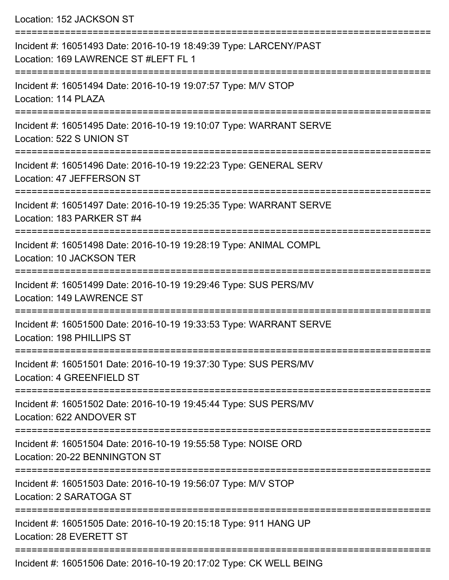Location: 152 JACKSON ST

| Incident #: 16051493 Date: 2016-10-19 18:49:39 Type: LARCENY/PAST<br>Location: 169 LAWRENCE ST #LEFT FL 1 |
|-----------------------------------------------------------------------------------------------------------|
| Incident #: 16051494 Date: 2016-10-19 19:07:57 Type: M/V STOP<br>Location: 114 PLAZA                      |
| Incident #: 16051495 Date: 2016-10-19 19:10:07 Type: WARRANT SERVE<br>Location: 522 S UNION ST            |
| Incident #: 16051496 Date: 2016-10-19 19:22:23 Type: GENERAL SERV<br>Location: 47 JEFFERSON ST            |
| Incident #: 16051497 Date: 2016-10-19 19:25:35 Type: WARRANT SERVE<br>Location: 183 PARKER ST #4          |
| Incident #: 16051498 Date: 2016-10-19 19:28:19 Type: ANIMAL COMPL<br><b>Location: 10 JACKSON TER</b>      |
| Incident #: 16051499 Date: 2016-10-19 19:29:46 Type: SUS PERS/MV<br><b>Location: 149 LAWRENCE ST</b>      |
| Incident #: 16051500 Date: 2016-10-19 19:33:53 Type: WARRANT SERVE<br>Location: 198 PHILLIPS ST           |
| Incident #: 16051501 Date: 2016-10-19 19:37:30 Type: SUS PERS/MV<br>Location: 4 GREENFIELD ST             |
| Incident #: 16051502 Date: 2016-10-19 19:45:44 Type: SUS PERS/MV<br>Location: 622 ANDOVER ST              |
| Incident #: 16051504 Date: 2016-10-19 19:55:58 Type: NOISE ORD<br>Location: 20-22 BENNINGTON ST           |
| Incident #: 16051503 Date: 2016-10-19 19:56:07 Type: M/V STOP<br>Location: 2 SARATOGA ST                  |
| Incident #: 16051505 Date: 2016-10-19 20:15:18 Type: 911 HANG UP<br>Location: 28 EVERETT ST               |
| D.t., 0040,40,40,00,47,00,T, OK WELL BE                                                                   |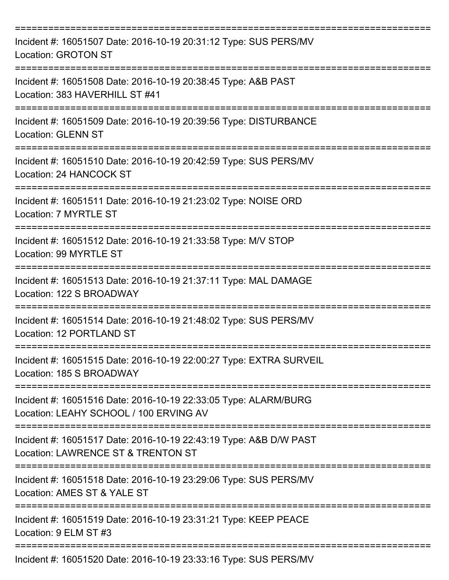| Incident #: 16051507 Date: 2016-10-19 20:31:12 Type: SUS PERS/MV<br>Location: GROTON ST                        |
|----------------------------------------------------------------------------------------------------------------|
| Incident #: 16051508 Date: 2016-10-19 20:38:45 Type: A&B PAST<br>Location: 383 HAVERHILL ST #41                |
| Incident #: 16051509 Date: 2016-10-19 20:39:56 Type: DISTURBANCE<br><b>Location: GLENN ST</b>                  |
| Incident #: 16051510 Date: 2016-10-19 20:42:59 Type: SUS PERS/MV<br>Location: 24 HANCOCK ST                    |
| Incident #: 16051511 Date: 2016-10-19 21:23:02 Type: NOISE ORD<br>Location: 7 MYRTLE ST                        |
| Incident #: 16051512 Date: 2016-10-19 21:33:58 Type: M/V STOP<br>Location: 99 MYRTLE ST                        |
| Incident #: 16051513 Date: 2016-10-19 21:37:11 Type: MAL DAMAGE<br>Location: 122 S BROADWAY                    |
| Incident #: 16051514 Date: 2016-10-19 21:48:02 Type: SUS PERS/MV<br>Location: 12 PORTLAND ST                   |
| Incident #: 16051515 Date: 2016-10-19 22:00:27 Type: EXTRA SURVEIL<br>Location: 185 S BROADWAY<br>------------ |
| Incident #: 16051516 Date: 2016-10-19 22:33:05 Type: ALARM/BURG<br>Location: LEAHY SCHOOL / 100 ERVING AV      |
| Incident #: 16051517 Date: 2016-10-19 22:43:19 Type: A&B D/W PAST<br>Location: LAWRENCE ST & TRENTON ST        |
| Incident #: 16051518 Date: 2016-10-19 23:29:06 Type: SUS PERS/MV<br>Location: AMES ST & YALE ST                |
| Incident #: 16051519 Date: 2016-10-19 23:31:21 Type: KEEP PEACE<br>Location: 9 ELM ST #3                       |
| Incident #: 16051520 Date: 2016-10-19 23:33:16 Type: SUS PERS/MV                                               |